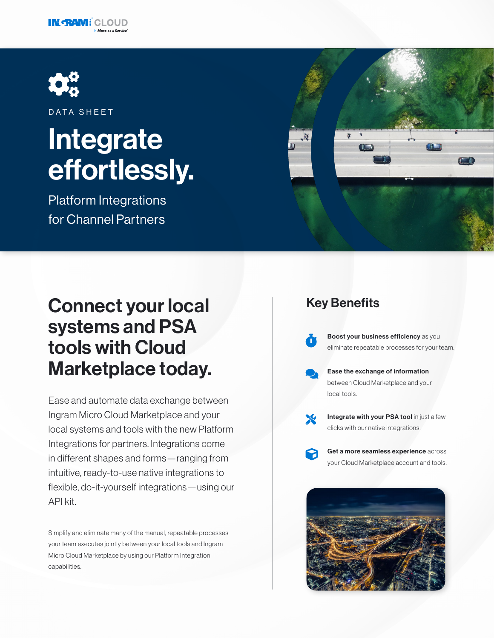



DATA SHEET

# Integrate effortlessly.

Platform Integrations for Channel Partners

## Connect your local systems and PSA tools with Cloud Marketplace today.

Ease and automate data exchange between Ingram Micro Cloud Marketplace and your local systems and tools with the new Platform Integrations for partners. Integrations come in different shapes and forms—ranging from intuitive, ready-to-use native integrations to flexible, do-it-yourself integrations—using our API kit.

Simplify and eliminate many of the manual, repeatable processes your team executes jointly between your local tools and Ingram Micro Cloud Marketplace by using our Platform Integration capabilities.



### Key Benefits

Boost your business efficiency as you eliminate repeatable processes for your team.

Ease the exchange of information between Cloud Marketplace and your local tools.

Integrate with your PSA tool in just a few clicks with our native integrations.

Get a more seamless experience across your Cloud Marketplace account and tools.